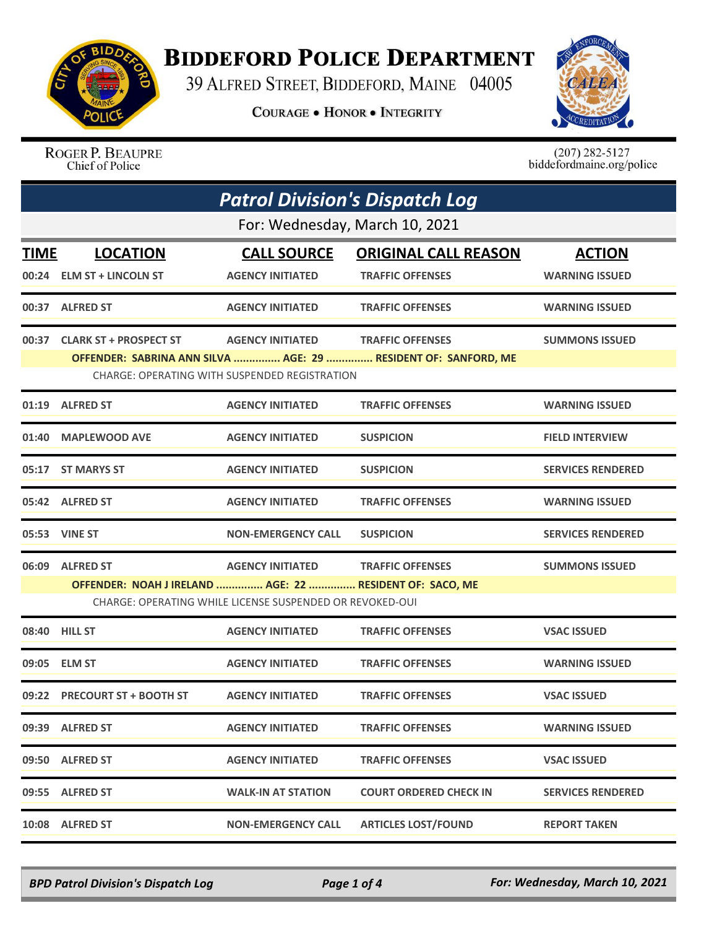

## **BIDDEFORD POLICE DEPARTMENT**

39 ALFRED STREET, BIDDEFORD, MAINE 04005

**COURAGE . HONOR . INTEGRITY** 



ROGER P. BEAUPRE Chief of Police

 $(207)$  282-5127<br>biddefordmaine.org/police

| <b>Patrol Division's Dispatch Log</b> |                                                          |                                                                          |                                                                                           |                                        |  |  |
|---------------------------------------|----------------------------------------------------------|--------------------------------------------------------------------------|-------------------------------------------------------------------------------------------|----------------------------------------|--|--|
|                                       | For: Wednesday, March 10, 2021                           |                                                                          |                                                                                           |                                        |  |  |
| <b>TIME</b>                           | <b>LOCATION</b><br>00:24 ELM ST + LINCOLN ST             | <b>CALL SOURCE</b><br><b>AGENCY INITIATED</b>                            | <b>ORIGINAL CALL REASON</b><br><b>TRAFFIC OFFENSES</b>                                    | <b>ACTION</b><br><b>WARNING ISSUED</b> |  |  |
|                                       | 00:37 ALFRED ST                                          | <b>AGENCY INITIATED</b>                                                  | <b>TRAFFIC OFFENSES</b>                                                                   | <b>WARNING ISSUED</b>                  |  |  |
|                                       | 00:37 CLARK ST + PROSPECT ST                             | <b>AGENCY INITIATED</b><br>CHARGE: OPERATING WITH SUSPENDED REGISTRATION | <b>TRAFFIC OFFENSES</b><br>OFFENDER: SABRINA ANN SILVA  AGE: 29  RESIDENT OF: SANFORD, ME | <b>SUMMONS ISSUED</b>                  |  |  |
|                                       | 01:19 ALFRED ST                                          | <b>AGENCY INITIATED</b>                                                  | <b>TRAFFIC OFFENSES</b>                                                                   | <b>WARNING ISSUED</b>                  |  |  |
|                                       | 01:40 MAPLEWOOD AVE                                      | <b>AGENCY INITIATED</b>                                                  | <b>SUSPICION</b>                                                                          | <b>FIELD INTERVIEW</b>                 |  |  |
|                                       | 05:17 ST MARYS ST                                        | <b>AGENCY INITIATED</b>                                                  | <b>SUSPICION</b>                                                                          | <b>SERVICES RENDERED</b>               |  |  |
|                                       | 05:42 ALFRED ST                                          | <b>AGENCY INITIATED</b>                                                  | <b>TRAFFIC OFFENSES</b>                                                                   | <b>WARNING ISSUED</b>                  |  |  |
|                                       | 05:53 VINE ST                                            | <b>NON-EMERGENCY CALL</b>                                                | <b>SUSPICION</b>                                                                          | <b>SERVICES RENDERED</b>               |  |  |
| 06:09                                 | <b>ALFRED ST</b>                                         | <b>AGENCY INITIATED</b>                                                  | <b>TRAFFIC OFFENSES</b>                                                                   | <b>SUMMONS ISSUED</b>                  |  |  |
|                                       | OFFENDER: NOAH J IRELAND  AGE: 22  RESIDENT OF: SACO, ME | CHARGE: OPERATING WHILE LICENSE SUSPENDED OR REVOKED-OUI                 |                                                                                           |                                        |  |  |
|                                       | 08:40 HILL ST                                            | <b>AGENCY INITIATED</b>                                                  | <b>TRAFFIC OFFENSES</b>                                                                   | <b>VSAC ISSUED</b>                     |  |  |
|                                       | 09:05 ELM ST                                             | <b>AGENCY INITIATED</b>                                                  | <b>TRAFFIC OFFENSES</b>                                                                   | <b>WARNING ISSUED</b>                  |  |  |
|                                       | 09:22 PRECOURT ST + BOOTH ST                             | <b>AGENCY INITIATED</b>                                                  | <b>TRAFFIC OFFENSES</b>                                                                   | <b>VSAC ISSUED</b>                     |  |  |
|                                       | 09:39 ALFRED ST                                          | <b>AGENCY INITIATED</b>                                                  | <b>TRAFFIC OFFENSES</b>                                                                   | <b>WARNING ISSUED</b>                  |  |  |
|                                       | 09:50 ALFRED ST                                          | <b>AGENCY INITIATED</b>                                                  | <b>TRAFFIC OFFENSES</b>                                                                   | <b>VSAC ISSUED</b>                     |  |  |
| 09:55                                 | <b>ALFRED ST</b>                                         | <b>WALK-IN AT STATION</b>                                                | <b>COURT ORDERED CHECK IN</b>                                                             | <b>SERVICES RENDERED</b>               |  |  |
|                                       | 10:08 ALFRED ST                                          | <b>NON-EMERGENCY CALL</b>                                                | <b>ARTICLES LOST/FOUND</b>                                                                | <b>REPORT TAKEN</b>                    |  |  |

*BPD Patrol Division's Dispatch Log Page 1 of 4 For: Wednesday, March 10, 2021*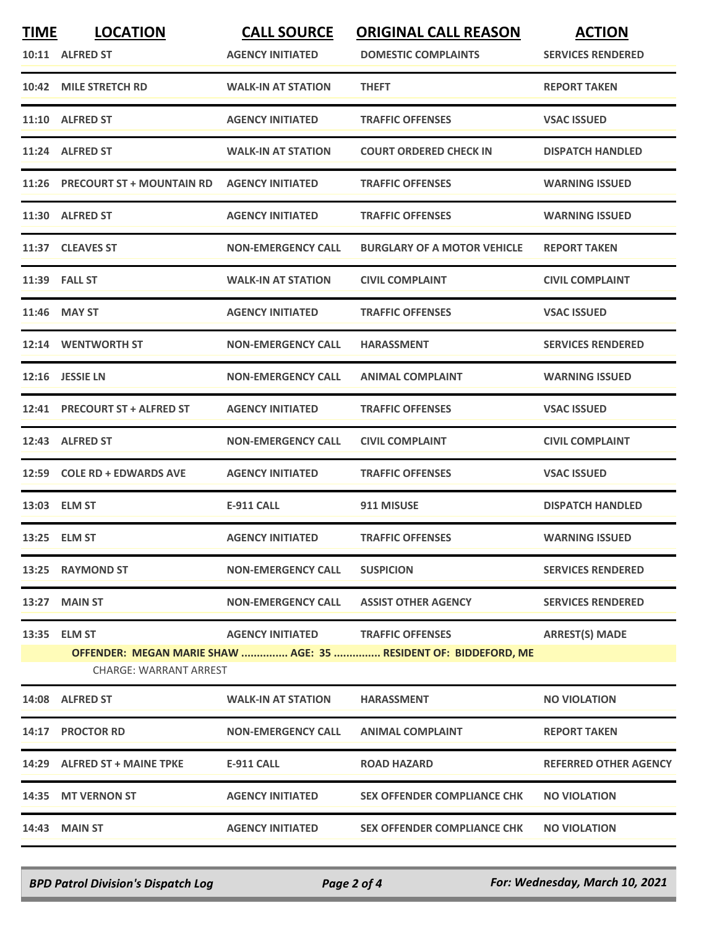| <u>TIME</u> | <b>LOCATION</b><br>10:11 ALFRED ST            | <b>CALL SOURCE</b><br><b>AGENCY INITIATED</b> | <b>ORIGINAL CALL REASON</b><br><b>DOMESTIC COMPLAINTS</b>       | <b>ACTION</b><br><b>SERVICES RENDERED</b> |
|-------------|-----------------------------------------------|-----------------------------------------------|-----------------------------------------------------------------|-------------------------------------------|
| 10:42       | <b>MILE STRETCH RD</b>                        | <b>WALK-IN AT STATION</b>                     | <b>THEFT</b>                                                    | <b>REPORT TAKEN</b>                       |
|             | 11:10 ALFRED ST                               | <b>AGENCY INITIATED</b>                       | <b>TRAFFIC OFFENSES</b>                                         | <b>VSAC ISSUED</b>                        |
|             | 11:24 ALFRED ST                               | <b>WALK-IN AT STATION</b>                     | <b>COURT ORDERED CHECK IN</b>                                   | <b>DISPATCH HANDLED</b>                   |
|             | 11:26 PRECOURT ST + MOUNTAIN RD               | <b>AGENCY INITIATED</b>                       | <b>TRAFFIC OFFENSES</b>                                         | <b>WARNING ISSUED</b>                     |
|             | 11:30 ALFRED ST                               | <b>AGENCY INITIATED</b>                       | <b>TRAFFIC OFFENSES</b>                                         | <b>WARNING ISSUED</b>                     |
|             | 11:37 CLEAVES ST                              | <b>NON-EMERGENCY CALL</b>                     | <b>BURGLARY OF A MOTOR VEHICLE</b>                              | <b>REPORT TAKEN</b>                       |
|             | <b>11:39 FALL ST</b>                          | <b>WALK-IN AT STATION</b>                     | <b>CIVIL COMPLAINT</b>                                          | <b>CIVIL COMPLAINT</b>                    |
|             | 11:46 MAY ST                                  | <b>AGENCY INITIATED</b>                       | <b>TRAFFIC OFFENSES</b>                                         | <b>VSAC ISSUED</b>                        |
|             | 12:14 WENTWORTH ST                            | <b>NON-EMERGENCY CALL</b>                     | <b>HARASSMENT</b>                                               | <b>SERVICES RENDERED</b>                  |
|             | 12:16 JESSIE LN                               | <b>NON-EMERGENCY CALL</b>                     | <b>ANIMAL COMPLAINT</b>                                         | <b>WARNING ISSUED</b>                     |
|             | 12:41 PRECOURT ST + ALFRED ST                 | <b>AGENCY INITIATED</b>                       | <b>TRAFFIC OFFENSES</b>                                         | <b>VSAC ISSUED</b>                        |
|             | 12:43 ALFRED ST                               | <b>NON-EMERGENCY CALL</b>                     | <b>CIVIL COMPLAINT</b>                                          | <b>CIVIL COMPLAINT</b>                    |
| 12:59       | <b>COLE RD + EDWARDS AVE</b>                  | <b>AGENCY INITIATED</b>                       | <b>TRAFFIC OFFENSES</b>                                         | <b>VSAC ISSUED</b>                        |
|             | 13:03 ELM ST                                  | E-911 CALL                                    | 911 MISUSE                                                      | <b>DISPATCH HANDLED</b>                   |
|             | 13:25 ELM ST                                  | <b>AGENCY INITIATED</b>                       | <b>TRAFFIC OFFENSES</b>                                         | <b>WARNING ISSUED</b>                     |
|             | 13:25 RAYMOND ST                              | <b>NON-EMERGENCY CALL</b>                     | <b>SUSPICION</b>                                                | <b>SERVICES RENDERED</b>                  |
|             | 13:27 MAIN ST                                 | <b>NON-EMERGENCY CALL</b>                     | <b>ASSIST OTHER AGENCY</b>                                      | <b>SERVICES RENDERED</b>                  |
|             | 13:35 ELM ST<br><b>CHARGE: WARRANT ARREST</b> | AGENCY INITIATED TRAFFIC OFFENSES             | OFFENDER: MEGAN MARIE SHAW  AGE: 35  RESIDENT OF: BIDDEFORD, ME | <b>ARREST(S) MADE</b>                     |
|             | 14:08 ALFRED ST                               | <b>WALK-IN AT STATION</b>                     | <b>HARASSMENT</b>                                               | <b>NO VIOLATION</b>                       |
|             | 14:17 PROCTOR RD                              | <b>NON-EMERGENCY CALL</b>                     | <b>ANIMAL COMPLAINT</b>                                         | <b>REPORT TAKEN</b>                       |
|             | 14:29 ALFRED ST + MAINE TPKE                  | E-911 CALL                                    | <b>ROAD HAZARD</b>                                              | <b>REFERRED OTHER AGENCY</b>              |
|             | 14:35 MT VERNON ST                            | <b>AGENCY INITIATED</b>                       | <b>SEX OFFENDER COMPLIANCE CHK</b>                              | <b>NO VIOLATION</b>                       |
|             | 14:43 MAIN ST                                 | <b>AGENCY INITIATED</b>                       | <b>SEX OFFENDER COMPLIANCE CHK</b>                              | <b>NO VIOLATION</b>                       |

*BPD Patrol Division's Dispatch Log Page 2 of 4 For: Wednesday, March 10, 2021*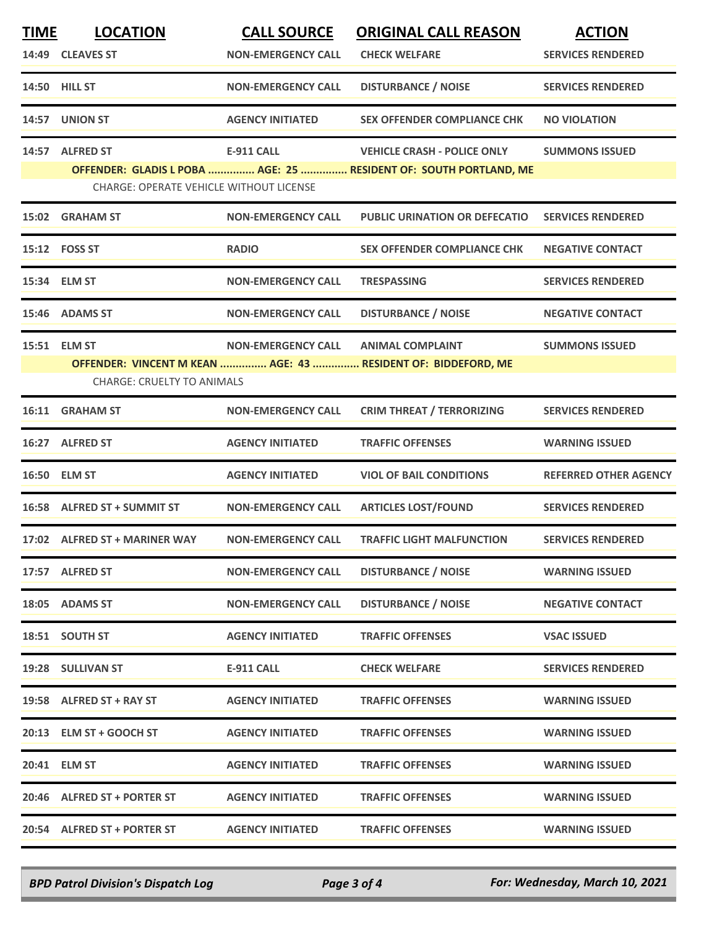| <b>TIME</b> | <b>LOCATION</b><br>14:49 CLEAVES ST            | <b>CALL SOURCE</b><br><b>NON-EMERGENCY CALL</b> | <b>ORIGINAL CALL REASON</b><br><b>CHECK WELFARE</b>               | <b>ACTION</b><br><b>SERVICES RENDERED</b> |
|-------------|------------------------------------------------|-------------------------------------------------|-------------------------------------------------------------------|-------------------------------------------|
|             | 14:50 HILL ST                                  | <b>NON-EMERGENCY CALL</b>                       | <b>DISTURBANCE / NOISE</b>                                        | <b>SERVICES RENDERED</b>                  |
|             | 14:57 UNION ST                                 | <b>AGENCY INITIATED</b>                         | <b>SEX OFFENDER COMPLIANCE CHK</b>                                | <b>NO VIOLATION</b>                       |
|             | 14:57 ALFRED ST                                | <b>E-911 CALL</b>                               | <b>VEHICLE CRASH - POLICE ONLY</b>                                | <b>SUMMONS ISSUED</b>                     |
|             | <b>CHARGE: OPERATE VEHICLE WITHOUT LICENSE</b> |                                                 | OFFENDER: GLADIS L POBA  AGE: 25  RESIDENT OF: SOUTH PORTLAND, ME |                                           |
|             | 15:02 GRAHAM ST                                | <b>NON-EMERGENCY CALL</b>                       | <b>PUBLIC URINATION OR DEFECATIO</b>                              | <b>SERVICES RENDERED</b>                  |
|             | 15:12    FOSS ST                               | <b>RADIO</b>                                    | <b>SEX OFFENDER COMPLIANCE CHK</b>                                | <b>NEGATIVE CONTACT</b>                   |
|             | 15:34 ELM ST                                   | <b>NON-EMERGENCY CALL</b>                       | <b>TRESPASSING</b>                                                | <b>SERVICES RENDERED</b>                  |
|             | 15:46 ADAMS ST                                 | <b>NON-EMERGENCY CALL</b>                       | <b>DISTURBANCE / NOISE</b>                                        | <b>NEGATIVE CONTACT</b>                   |
|             | 15:51 ELM ST                                   | <b>NON-EMERGENCY CALL</b>                       | <b>ANIMAL COMPLAINT</b>                                           | <b>SUMMONS ISSUED</b>                     |
|             | <b>CHARGE: CRUELTY TO ANIMALS</b>              |                                                 | OFFENDER: VINCENT M KEAN  AGE: 43  RESIDENT OF: BIDDEFORD, ME     |                                           |
|             | 16:11 GRAHAM ST                                | <b>NON-EMERGENCY CALL</b>                       | <b>CRIM THREAT / TERRORIZING</b>                                  | <b>SERVICES RENDERED</b>                  |
|             | 16:27 ALFRED ST                                | <b>AGENCY INITIATED</b>                         | <b>TRAFFIC OFFENSES</b>                                           | <b>WARNING ISSUED</b>                     |
| 16:50       | <b>ELM ST</b>                                  | <b>AGENCY INITIATED</b>                         | <b>VIOL OF BAIL CONDITIONS</b>                                    | <b>REFERRED OTHER AGENCY</b>              |
|             | 16:58 ALFRED ST + SUMMIT ST                    | <b>NON-EMERGENCY CALL</b>                       | <b>ARTICLES LOST/FOUND</b>                                        | <b>SERVICES RENDERED</b>                  |
|             | 17:02 ALFRED ST + MARINER WAY                  | <b>NON-EMERGENCY CALL</b>                       | <b>TRAFFIC LIGHT MALFUNCTION</b>                                  | <b>SERVICES RENDERED</b>                  |
|             | 17:57 ALFRED ST                                | <b>NON-EMERGENCY CALL</b>                       | <b>DISTURBANCE / NOISE</b>                                        | <b>WARNING ISSUED</b>                     |
|             | 18:05 ADAMS ST                                 | <b>NON-EMERGENCY CALL</b>                       | <b>DISTURBANCE / NOISE</b>                                        | <b>NEGATIVE CONTACT</b>                   |
|             | 18:51 SOUTH ST                                 | <b>AGENCY INITIATED</b>                         | <b>TRAFFIC OFFENSES</b>                                           | <b>VSAC ISSUED</b>                        |
|             | 19:28 SULLIVAN ST                              | <b>E-911 CALL</b>                               | <b>CHECK WELFARE</b>                                              | <b>SERVICES RENDERED</b>                  |
|             | 19:58 ALFRED ST + RAY ST                       | <b>AGENCY INITIATED</b>                         | <b>TRAFFIC OFFENSES</b>                                           | <b>WARNING ISSUED</b>                     |
|             | 20:13 ELM ST + GOOCH ST                        | <b>AGENCY INITIATED</b>                         | <b>TRAFFIC OFFENSES</b>                                           | <b>WARNING ISSUED</b>                     |
|             | 20:41 ELM ST                                   | <b>AGENCY INITIATED</b>                         | <b>TRAFFIC OFFENSES</b>                                           | <b>WARNING ISSUED</b>                     |
|             | 20:46 ALFRED ST + PORTER ST                    | <b>AGENCY INITIATED</b>                         | <b>TRAFFIC OFFENSES</b>                                           | <b>WARNING ISSUED</b>                     |
|             | 20:54 ALFRED ST + PORTER ST                    | <b>AGENCY INITIATED</b>                         | <b>TRAFFIC OFFENSES</b>                                           | <b>WARNING ISSUED</b>                     |

*BPD Patrol Division's Dispatch Log Page 3 of 4 For: Wednesday, March 10, 2021*